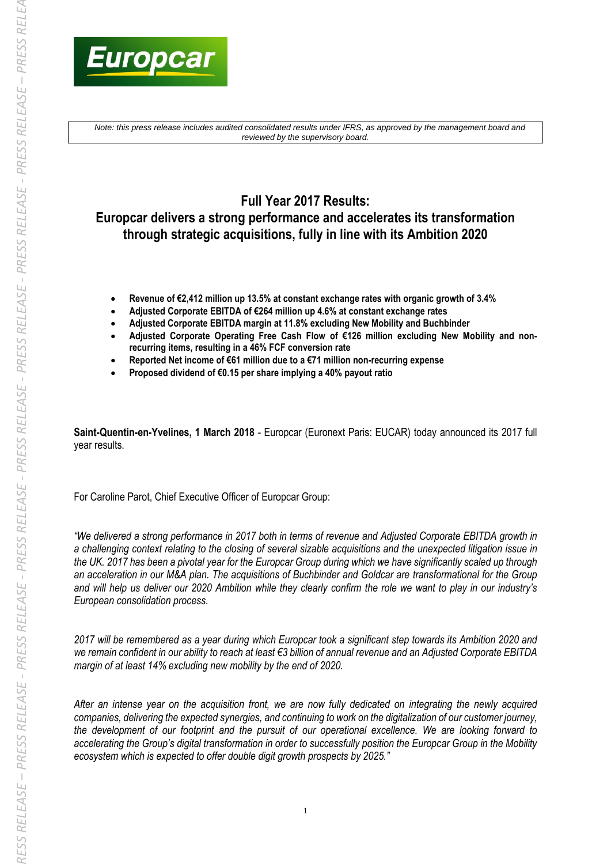

*Note: this press release includes audited consolidated results under IFRS, as approved by the management board and reviewed by the supervisory board.*

# **Full Year 2017 Results: Europcar delivers a strong performance and accelerates its transformation through strategic acquisitions, fully in line with its Ambition 2020**

- **Revenue of €2,412 million up 13.5% at constant exchange rates with organic growth of 3.4%**
- **Adjusted Corporate EBITDA of €264 million up 4.6% at constant exchange rates**
- **Adjusted Corporate EBITDA margin at 11.8% excluding New Mobility and Buchbinder**
- **Adjusted Corporate Operating Free Cash Flow of €126 million excluding New Mobility and nonrecurring items, resulting in a 46% FCF conversion rate**
- **Reported Net income of €61 million due to a €71 million non-recurring expense**
- **Proposed dividend of €0.15 per share implying a 40% payout ratio**

**Saint-Quentin-en-Yvelines, 1 March 2018** - Europcar (Euronext Paris: EUCAR) today announced its 2017 full year results.

For Caroline Parot, Chief Executive Officer of Europcar Group:

*"We delivered a strong performance in 2017 both in terms of revenue and Adjusted Corporate EBITDA growth in a challenging context relating to the closing of several sizable acquisitions and the unexpected litigation issue in the UK. 2017 has been a pivotal year for the Europcar Group during which we have significantly scaled up through an acceleration in our M&A plan. The acquisitions of Buchbinder and Goldcar are transformational for the Group and will help us deliver our 2020 Ambition while they clearly confirm the role we want to play in our industry's European consolidation process.*

*2017 will be remembered as a year during which Europcar took a significant step towards its Ambition 2020 and we remain confident in our ability to reach at least €3 billion of annual revenue and an Adjusted Corporate EBITDA margin of at least 14% excluding new mobility by the end of 2020.*

*After an intense year on the acquisition front, we are now fully dedicated on integrating the newly acquired companies, delivering the expected synergies, and continuing to work on the digitalization of our customer journey, the development of our footprint and the pursuit of our operational excellence. We are looking forward to accelerating the Group's digital transformation in order to successfully position the Europcar Group in the Mobility ecosystem which is expected to offer double digit growth prospects by 2025."*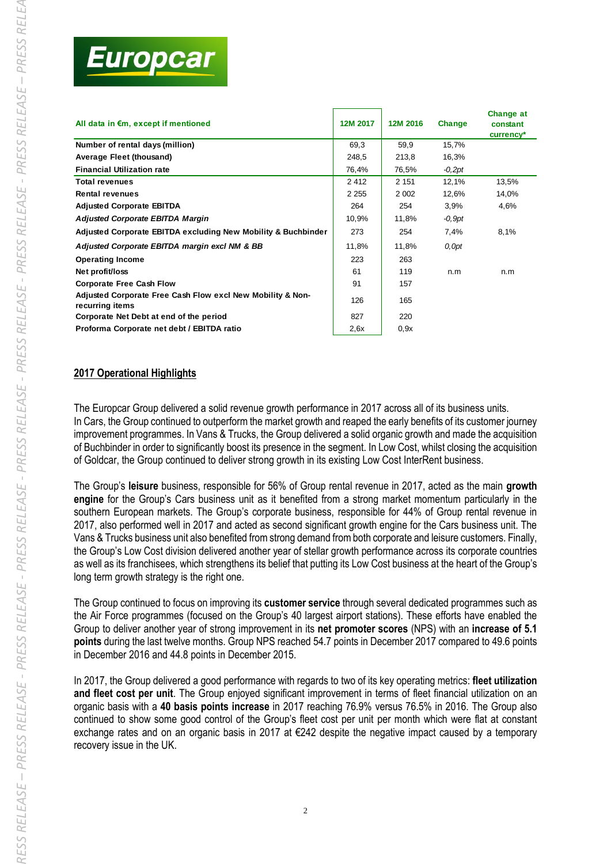| All data in €m, except if mentioned                                           | 12M 2017 | 12M 2016 | Change   | <b>Change at</b><br>constant<br>currency* |
|-------------------------------------------------------------------------------|----------|----------|----------|-------------------------------------------|
| Number of rental days (million)                                               | 69,3     | 59,9     | 15,7%    |                                           |
| Average Fleet (thousand)                                                      | 248,5    | 213,8    | 16,3%    |                                           |
| <b>Financial Utilization rate</b>                                             | 76,4%    | 76,5%    | $-0,2pt$ |                                           |
| <b>Total revenues</b>                                                         | 2412     | 2 1 5 1  | 12,1%    | 13,5%                                     |
| <b>Rental revenues</b>                                                        | 2 2 5 5  | 2 0 0 2  | 12,6%    | 14,0%                                     |
| <b>Adjusted Corporate EBITDA</b>                                              | 264      | 254      | 3.9%     | 4,6%                                      |
| <b>Adjusted Corporate EBITDA Margin</b>                                       | 10,9%    | 11,8%    | $-0,9pt$ |                                           |
| Adjusted Corporate EBITDA excluding New Mobility & Buchbinder                 | 273      | 254      | 7,4%     | 8,1%                                      |
| Adjusted Corporate EBITDA margin excl NM & BB                                 | 11,8%    | 11,8%    | 0,0pt    |                                           |
| <b>Operating Income</b>                                                       | 223      | 263      |          |                                           |
| Net profit/loss                                                               | 61       | 119      | n.m      | n.m                                       |
| <b>Corporate Free Cash Flow</b>                                               | 91       | 157      |          |                                           |
| Adjusted Corporate Free Cash Flow excl New Mobility & Non-<br>recurring items | 126      | 165      |          |                                           |
| Corporate Net Debt at end of the period                                       | 827      | 220      |          |                                           |
| Proforma Corporate net debt / EBITDA ratio                                    | 2,6x     | 0.9x     |          |                                           |

# **2017 Operational Highlights**

The Europcar Group delivered a solid revenue growth performance in 2017 across all of its business units. In Cars, the Group continued to outperform the market growth and reaped the early benefits of its customer journey improvement programmes. In Vans & Trucks, the Group delivered a solid organic growth and made the acquisition of Buchbinder in order to significantly boost its presence in the segment. In Low Cost, whilst closing the acquisition of Goldcar, the Group continued to deliver strong growth in its existing Low Cost InterRent business.

The Group's **leisure** business, responsible for 56% of Group rental revenue in 2017, acted as the main **growth engine** for the Group's Cars business unit as it benefited from a strong market momentum particularly in the southern European markets. The Group's corporate business, responsible for 44% of Group rental revenue in 2017, also performed well in 2017 and acted as second significant growth engine for the Cars business unit. The Vans & Trucks business unit also benefited from strong demand from both corporate and leisure customers. Finally, the Group's Low Cost division delivered another year of stellar growth performance across its corporate countries as well as its franchisees, which strengthens its belief that putting its Low Cost business at the heart of the Group's long term growth strategy is the right one.

The Group continued to focus on improving its **customer service** through several dedicated programmes such as the Air Force programmes (focused on the Group's 40 largest airport stations). These efforts have enabled the Group to deliver another year of strong improvement in its **net promoter scores** (NPS) with an **increase of 5.1 points** during the last twelve months. Group NPS reached 54.7 points in December 2017 compared to 49.6 points in December 2016 and 44.8 points in December 2015.

In 2017, the Group delivered a good performance with regards to two of its key operating metrics: **fleet utilization and fleet cost per unit**. The Group enjoyed significant improvement in terms of fleet financial utilization on an organic basis with a **40 basis points increase** in 2017 reaching 76.9% versus 76.5% in 2016. The Group also continued to show some good control of the Group's fleet cost per unit per month which were flat at constant exchange rates and on an organic basis in 2017 at €242 despite the negative impact caused by a temporary recovery issue in the UK.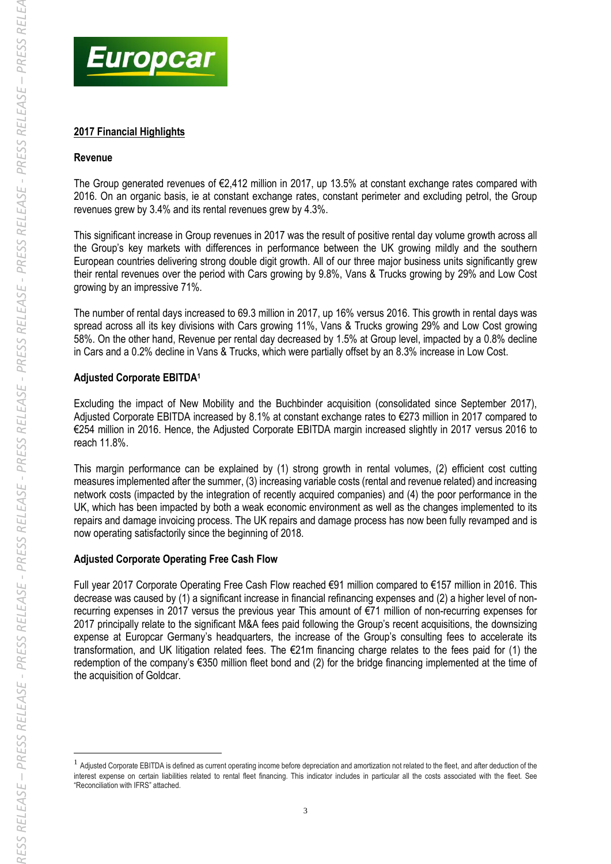

# **2017 Financial Highlights**

#### **Revenue**

The Group generated revenues of €2,412 million in 2017, up 13.5% at constant exchange rates compared with 2016. On an organic basis, ie at constant exchange rates, constant perimeter and excluding petrol, the Group revenues grew by 3.4% and its rental revenues grew by 4.3%.

This significant increase in Group revenues in 2017 was the result of positive rental day volume growth across all the Group's key markets with differences in performance between the UK growing mildly and the southern European countries delivering strong double digit growth. All of our three major business units significantly grew their rental revenues over the period with Cars growing by 9.8%, Vans & Trucks growing by 29% and Low Cost growing by an impressive 71%.

The number of rental days increased to 69.3 million in 2017, up 16% versus 2016. This growth in rental days was spread across all its key divisions with Cars growing 11%, Vans & Trucks growing 29% and Low Cost growing 58%. On the other hand, Revenue per rental day decreased by 1.5% at Group level, impacted by a 0.8% decline in Cars and a 0.2% decline in Vans & Trucks, which were partially offset by an 8.3% increase in Low Cost.

# **Adjusted Corporate EBITDA<sup>1</sup>**

Excluding the impact of New Mobility and the Buchbinder acquisition (consolidated since September 2017), Adjusted Corporate EBITDA increased by 8.1% at constant exchange rates to €273 million in 2017 compared to €254 million in 2016. Hence, the Adjusted Corporate EBITDA margin increased slightly in 2017 versus 2016 to reach 11.8%.

This margin performance can be explained by (1) strong growth in rental volumes, (2) efficient cost cutting measures implemented after the summer, (3) increasing variable costs (rental and revenue related) and increasing network costs (impacted by the integration of recently acquired companies) and (4) the poor performance in the UK, which has been impacted by both a weak economic environment as well as the changes implemented to its repairs and damage invoicing process. The UK repairs and damage process has now been fully revamped and is now operating satisfactorily since the beginning of 2018.

# **Adjusted Corporate Operating Free Cash Flow**

Full year 2017 Corporate Operating Free Cash Flow reached €91 million compared to €157 million in 2016. This decrease was caused by (1) a significant increase in financial refinancing expenses and (2) a higher level of nonrecurring expenses in 2017 versus the previous year This amount of €71 million of non-recurring expenses for 2017 principally relate to the significant M&A fees paid following the Group's recent acquisitions, the downsizing expense at Europcar Germany's headquarters, the increase of the Group's consulting fees to accelerate its transformation, and UK litigation related fees. The €21m financing charge relates to the fees paid for (1) the redemption of the company's €350 million fleet bond and (2) for the bridge financing implemented at the time of the acquisition of Goldcar.

-

<sup>&</sup>lt;sup>1</sup> Adjusted Corporate EBITDA is defined as current operating income before depreciation and amortization not related to the fleet, and after deduction of the interest expense on certain liabilities related to rental fleet financing. This indicator includes in particular all the costs associated with the fleet. See "Reconciliation with IFRS" attached.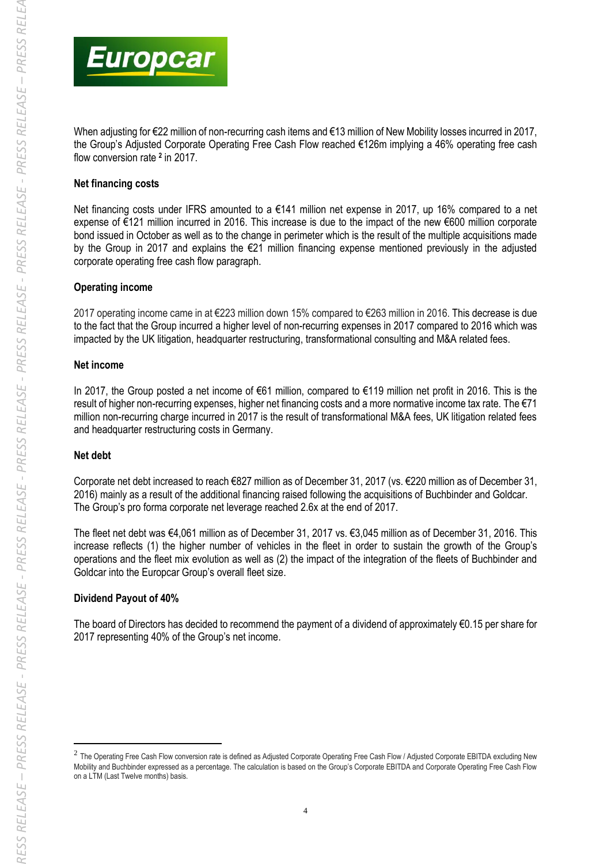

When adjusting for €22 million of non-recurring cash items and €13 million of New Mobility losses incurred in 2017, the Group's Adjusted Corporate Operating Free Cash Flow reached €126m implying a 46% operating free cash flow conversion rate **<sup>2</sup>** in 2017.

#### **Net financing costs**

Net financing costs under IFRS amounted to a €141 million net expense in 2017, up 16% compared to a net expense of €121 million incurred in 2016. This increase is due to the impact of the new €600 million corporate bond issued in October as well as to the change in perimeter which is the result of the multiple acquisitions made by the Group in 2017 and explains the €21 million financing expense mentioned previously in the adjusted corporate operating free cash flow paragraph.

#### **Operating income**

2017 operating income came in at €223 million down 15% compared to €263 million in 2016. This decrease is due to the fact that the Group incurred a higher level of non-recurring expenses in 2017 compared to 2016 which was impacted by the UK litigation, headquarter restructuring, transformational consulting and M&A related fees.

#### **Net income**

In 2017, the Group posted a net income of €61 million, compared to €119 million net profit in 2016. This is the result of higher non-recurring expenses, higher net financing costs and a more normative income tax rate. The €71 million non-recurring charge incurred in 2017 is the result of transformational M&A fees, UK litigation related fees and headquarter restructuring costs in Germany.

# **Net debt**

1

Corporate net debt increased to reach €827 million as of December 31, 2017 (vs. €220 million as of December 31, 2016) mainly as a result of the additional financing raised following the acquisitions of Buchbinder and Goldcar. The Group's pro forma corporate net leverage reached 2.6x at the end of 2017.

The fleet net debt was €4,061 million as of December 31, 2017 vs. €3,045 million as of December 31, 2016. This increase reflects (1) the higher number of vehicles in the fleet in order to sustain the growth of the Group's operations and the fleet mix evolution as well as (2) the impact of the integration of the fleets of Buchbinder and Goldcar into the Europcar Group's overall fleet size.

# **Dividend Payout of 40%**

The board of Directors has decided to recommend the payment of a dividend of approximately €0.15 per share for 2017 representing 40% of the Group's net income.

 $^2$  The Operating Free Cash Flow conversion rate is defined as Adjusted Corporate Operating Free Cash Flow / Adjusted Corporate EBITDA excluding New Mobility and Buchbinder expressed as a percentage. The calculation is based on the Group's Corporate EBITDA and Corporate Operating Free Cash Flow on a LTM (Last Twelve months) basis.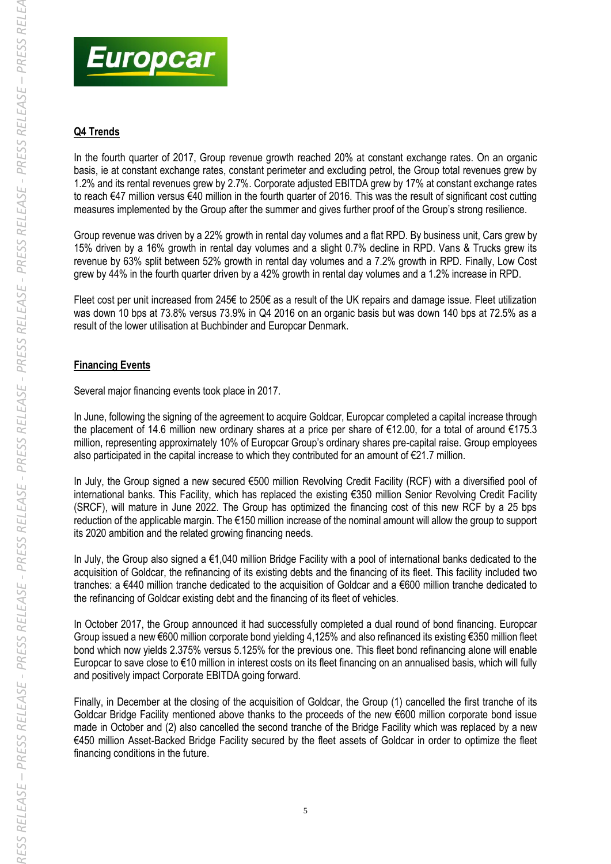

*RESS RELEASE* 



# **Q4 Trends**

In the fourth quarter of 2017, Group revenue growth reached 20% at constant exchange rates. On an organic basis, ie at constant exchange rates, constant perimeter and excluding petrol, the Group total revenues grew by 1.2% and its rental revenues grew by 2.7%. Corporate adjusted EBITDA grew by 17% at constant exchange rates to reach €47 million versus €40 million in the fourth quarter of 2016. This was the result of significant cost cutting measures implemented by the Group after the summer and gives further proof of the Group's strong resilience.

Group revenue was driven by a 22% growth in rental day volumes and a flat RPD. By business unit, Cars grew by 15% driven by a 16% growth in rental day volumes and a slight 0.7% decline in RPD. Vans & Trucks grew its revenue by 63% split between 52% growth in rental day volumes and a 7.2% growth in RPD. Finally, Low Cost grew by 44% in the fourth quarter driven by a 42% growth in rental day volumes and a 1.2% increase in RPD.

Fleet cost per unit increased from 245€ to 250€ as a result of the UK repairs and damage issue. Fleet utilization was down 10 bps at 73.8% versus 73.9% in Q4 2016 on an organic basis but was down 140 bps at 72.5% as a result of the lower utilisation at Buchbinder and Europcar Denmark.

# **Financing Events**

Several major financing events took place in 2017.

In June, following the signing of the agreement to acquire Goldcar, Europcar completed a capital increase through the placement of 14.6 million new ordinary shares at a price per share of €12.00, for a total of around €175.3 million, representing approximately 10% of Europcar Group's ordinary shares pre-capital raise. Group employees also participated in the capital increase to which they contributed for an amount of €21.7 million.

In July, the Group signed a new secured €500 million Revolving Credit Facility (RCF) with a diversified pool of international banks. This Facility, which has replaced the existing €350 million Senior Revolving Credit Facility (SRCF), will mature in June 2022. The Group has optimized the financing cost of this new RCF by a 25 bps reduction of the applicable margin. The €150 million increase of the nominal amount will allow the group to support its 2020 ambition and the related growing financing needs.

In July, the Group also signed a €1,040 million Bridge Facility with a pool of international banks dedicated to the acquisition of Goldcar, the refinancing of its existing debts and the financing of its fleet. This facility included two tranches: a €440 million tranche dedicated to the acquisition of Goldcar and a €600 million tranche dedicated to the refinancing of Goldcar existing debt and the financing of its fleet of vehicles.

In October 2017, the Group announced it had successfully completed a dual round of bond financing. Europcar Group issued a new €600 million corporate bond yielding 4,125% and also refinanced its existing €350 million fleet bond which now yields 2.375% versus 5.125% for the previous one. This fleet bond refinancing alone will enable Europcar to save close to €10 million in interest costs on its fleet financing on an annualised basis, which will fully and positively impact Corporate EBITDA going forward.

Finally, in December at the closing of the acquisition of Goldcar, the Group (1) cancelled the first tranche of its Goldcar Bridge Facility mentioned above thanks to the proceeds of the new €600 million corporate bond issue made in October and (2) also cancelled the second tranche of the Bridge Facility which was replaced by a new €450 million Asset-Backed Bridge Facility secured by the fleet assets of Goldcar in order to optimize the fleet financing conditions in the future.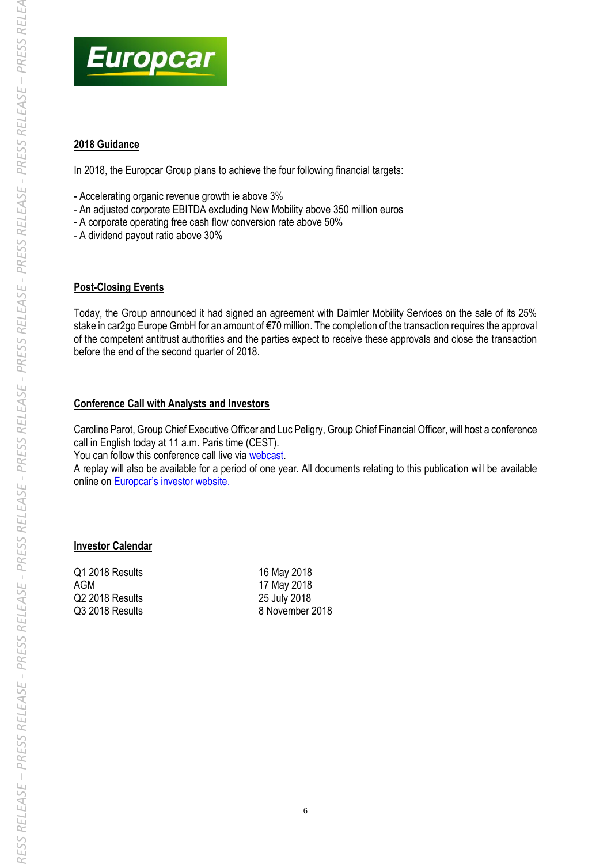

# **2018 Guidance**

In 2018, the Europcar Group plans to achieve the four following financial targets:

- Accelerating organic revenue growth ie above 3%
- An adjusted corporate EBITDA excluding New Mobility above 350 million euros
- A corporate operating free cash flow conversion rate above 50%
- A dividend payout ratio above 30%

#### **Post-Closing Events**

Today, the Group announced it had signed an agreement with Daimler Mobility Services on the sale of its 25% stake in car2go Europe GmbH for an amount of €70 million. The completion of the transaction requires the approval of the competent antitrust authorities and the parties expect to receive these approvals and close the transaction before the end of the second quarter of 2018.

# **Conference Call with Analysts and Investors**

Caroline Parot, Group Chief Executive Officer and Luc Peligry, Group Chief Financial Officer, will host a conference call in English today at 11 a.m. Paris time (CEST).

You can follow this conference call live via [webcast.](https://pgi.webcasts.com/starthere.jsp?ei=1181073&tp_key=b1aa2c54db)

A replay will also be available for a period of one year. All documents relating to this publication will be available online on [Europcar's investor website](https://investors.europcar-group.com/).

# **Investor Calendar**

Q1 2018 Results 16 May 2018 AGM 17 May 2018 Q2 2018 Results 25 July 2018

Q3 2018 Results 8 November 2018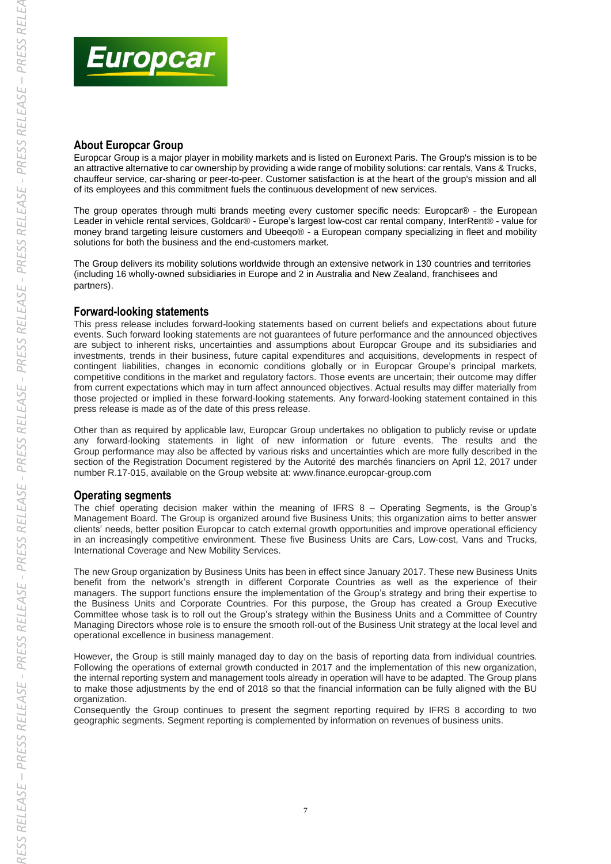

# **About Europcar Group**

Europcar Group is a major player in mobility markets and is listed on Euronext Paris. The Group's mission is to be an attractive alternative to car ownership by providing a wide range of mobility solutions: car rentals, Vans & Trucks, chauffeur service, car-sharing or peer-to-peer. Customer satisfaction is at the heart of the group's mission and all of its employees and this commitment fuels the continuous development of new services.

The group operates through multi brands meeting every customer specific needs: Europcar® - the European Leader in vehicle rental services, Goldcar® - Europe's largest low-cost car rental company, InterRent® - value for money brand targeting leisure customers and Ubeeqo® - a European company specializing in fleet and mobility solutions for both the business and the end-customers market.

The Group delivers its mobility solutions worldwide through an extensive network in 130 countries and territories (including 16 wholly-owned subsidiaries in Europe and 2 in Australia and New Zealand, franchisees and partners).

#### **Forward-looking statements**

This press release includes forward-looking statements based on current beliefs and expectations about future events. Such forward looking statements are not guarantees of future performance and the announced objectives are subject to inherent risks, uncertainties and assumptions about Europcar Groupe and its subsidiaries and investments, trends in their business, future capital expenditures and acquisitions, developments in respect of contingent liabilities, changes in economic conditions globally or in Europcar Groupe's principal markets, competitive conditions in the market and regulatory factors. Those events are uncertain; their outcome may differ from current expectations which may in turn affect announced objectives. Actual results may differ materially from those projected or implied in these forward-looking statements. Any forward-looking statement contained in this press release is made as of the date of this press release.

Other than as required by applicable law, Europcar Group undertakes no obligation to publicly revise or update any forward-looking statements in light of new information or future events. The results and the Group performance may also be affected by various risks and uncertainties which are more fully described in the section of the Registration Document registered by the Autorité des marchés financiers on April 12, 2017 under number R.17-015, available on the Group website at: www.finance.europcar-group.com

# **Operating segments**

The chief operating decision maker within the meaning of IFRS 8 – Operating Segments, is the Group's Management Board. The Group is organized around five Business Units; this organization aims to better answer clients' needs, better position Europcar to catch external growth opportunities and improve operational efficiency in an increasingly competitive environment. These five Business Units are Cars, Low-cost, Vans and Trucks, International Coverage and New Mobility Services.

The new Group organization by Business Units has been in effect since January 2017. These new Business Units benefit from the network's strength in different Corporate Countries as well as the experience of their managers. The support functions ensure the implementation of the Group's strategy and bring their expertise to the Business Units and Corporate Countries. For this purpose, the Group has created a Group Executive Committee whose task is to roll out the Group's strategy within the Business Units and a Committee of Country Managing Directors whose role is to ensure the smooth roll-out of the Business Unit strategy at the local level and operational excellence in business management.

However, the Group is still mainly managed day to day on the basis of reporting data from individual countries. Following the operations of external growth conducted in 2017 and the implementation of this new organization, the internal reporting system and management tools already in operation will have to be adapted. The Group plans to make those adjustments by the end of 2018 so that the financial information can be fully aligned with the BU organization.

Consequently the Group continues to present the segment reporting required by IFRS 8 according to two geographic segments. Segment reporting is complemented by information on revenues of business units.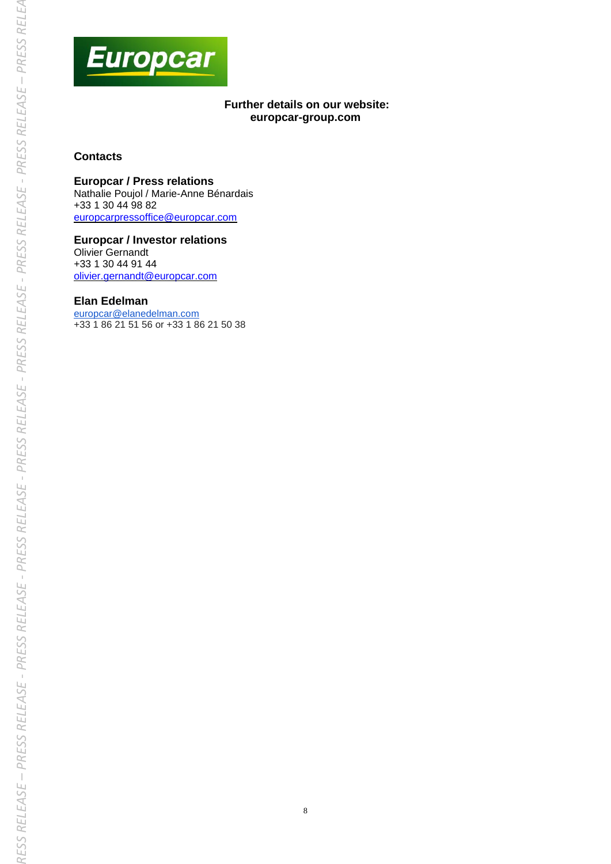

# **Further details on our website: europcar-group.com**

# **Contacts**

#### **Europcar / Press relations**

Nathalie Poujol / Marie-Anne Bénardais +33 1 30 44 98 82 [europcarpressoffice@europcar.com](mailto:europcarpressoffice@europcar.com) 

**Europcar / Investor relations** Olivier Gernandt +33 1 30 44 91 44 [olivier.gernandt@europcar.com](mailto:olivier.gernandt@europcar.com) 

#### **Elan Edelman**

[europcar@elanedelman.com](mailto:europcar@elanedelman.com) +33 1 86 21 51 56 or +33 1 86 21 50 38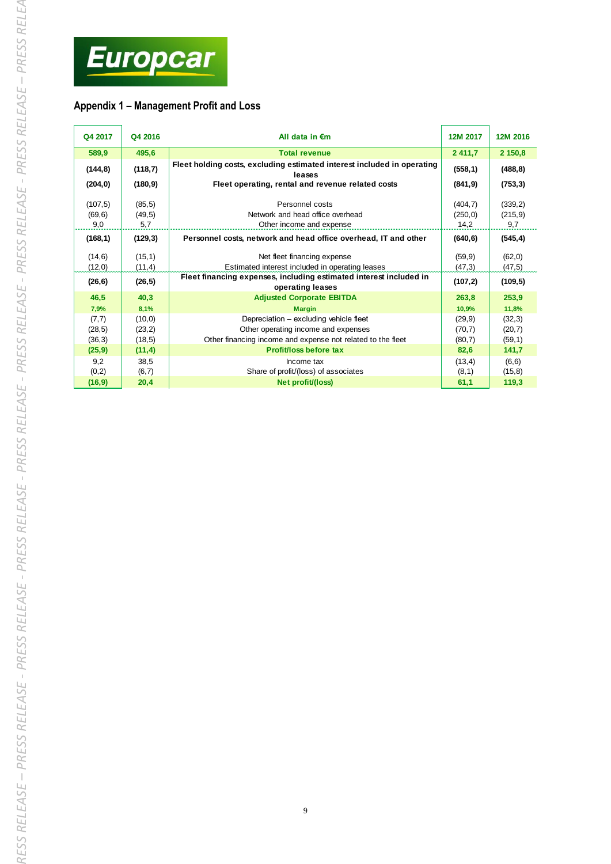

# **Appendix 1 – Management Profit and Loss**

| Q4 2017                    | Q4 2016                     | All data in $\epsilon$ m                                                                                                                     | 12M 2017                     | 12M 2016                   |  |
|----------------------------|-----------------------------|----------------------------------------------------------------------------------------------------------------------------------------------|------------------------------|----------------------------|--|
| 589,9                      | 495,6                       | <b>Total revenue</b>                                                                                                                         | 2 411,7                      | 2 150,8                    |  |
| (144, 8)                   | (118,7)                     | Fleet holding costs, excluding estimated interest included in operating<br>leases                                                            | (558, 1)                     | (488, 8)                   |  |
| (204, 0)                   | (180, 9)                    | Fleet operating, rental and revenue related costs                                                                                            | (841, 9)                     | (753, 3)                   |  |
| (107, 5)<br>(69, 6)<br>9,0 | (85, 5)<br>(49,5)<br>5,7    | Personnel costs<br>Network and head office overhead<br>Other income and expense                                                              | (404, 7)<br>(250, 0)<br>14,2 | (339,2)<br>(215, 9)<br>9,7 |  |
| (168, 1)                   | (129,3)                     | Personnel costs, network and head office overhead, IT and other                                                                              | (640, 6)                     | (545, 4)                   |  |
| (14, 6)<br>(12,0)          | (15, 1)<br>(11,4)           | Net fleet financing expense<br>Estimated interest included in operating leases                                                               | (59, 9)<br>(47,3)            | (62, 0)<br>(47, 5)         |  |
| (26, 6)                    | (26, 5)                     | Fleet financing expenses, including estimated interest included in<br>operating leases                                                       | (107, 2)                     | (109, 5)                   |  |
| 46,5                       | 40,3                        | <b>Adjusted Corporate EBITDA</b>                                                                                                             | 263,8                        | 253,9                      |  |
| 7,9%                       | 8,1%                        | <b>Margin</b>                                                                                                                                | 10,9%                        | 11,8%                      |  |
| (7,7)<br>(28, 5)<br>(36,3) | (10, 0)<br>(23,2)<br>(18,5) | Depreciation - excluding vehicle fleet<br>Other operating income and expenses<br>Other financing income and expense not related to the fleet | (29, 9)<br>(70,7)<br>(80,7)  | (32,3)<br>(20,7)<br>(59,1) |  |
| (25, 9)                    | (11,4)                      | Profit/loss before tax                                                                                                                       | 82,6                         | 141,7                      |  |
| 9,2<br>(0, 2)              | 38,5<br>(6,7)               | Income tax<br>Share of profit/(loss) of associates                                                                                           | (13, 4)<br>(8,1)             | (6, 6)<br>(15, 8)          |  |
| (16, 9)                    | 20,4                        | Net profit/(loss)                                                                                                                            | 61,1                         | 119,3                      |  |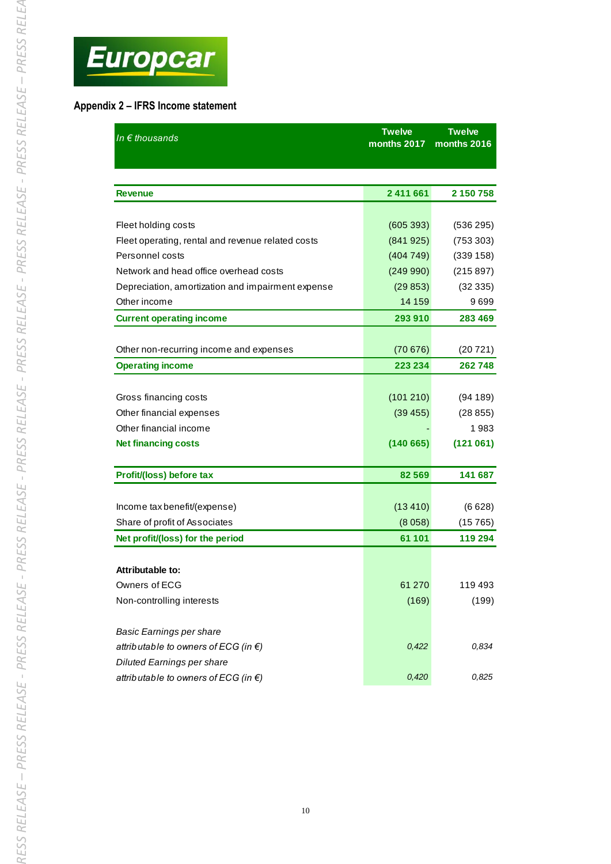

| Appendix 2 - IFRS Income statement |
|------------------------------------|
|------------------------------------|

| In $\epsilon$ thousands                           | <b>Twelve</b><br>months 2017 | <b>Twelve</b><br>months 2016 |
|---------------------------------------------------|------------------------------|------------------------------|
|                                                   |                              |                              |
|                                                   |                              |                              |
| Revenue                                           | 2 411 661                    | 2 150 758                    |
|                                                   |                              |                              |
| Fleet holding costs                               | (605 393)                    | (536 295)                    |
| Fleet operating, rental and revenue related costs | (841925)                     | (753 303)                    |
| Personnel costs                                   | (404749)                     | (339 158)                    |
| Network and head office overhead costs            | (249990)                     | (215 897)                    |
| Depreciation, amortization and impairment expense | (29853)                      | (32335)                      |
| Other income                                      | 14 159                       | 9699                         |
| <b>Current operating income</b>                   | 293 910                      | 283 469                      |
|                                                   |                              |                              |
| Other non-recurring income and expenses           | (70676)                      | (20721)                      |
| <b>Operating income</b>                           | 223 234                      | 262 748                      |
|                                                   |                              |                              |
| Gross financing costs                             | (101 210)                    | (94189)                      |
| Other financial expenses                          | (39 455)                     | (28855)                      |
| Other financial income                            |                              | 1983                         |
| <b>Net financing costs</b>                        | (140665)                     | (121061)                     |
|                                                   |                              |                              |
| Profit/(loss) before tax                          | 82 569                       | 141 687                      |
|                                                   |                              |                              |
| Income tax benefit/(expense)                      | (13 410)                     | (6628)                       |
| Share of profit of Associates                     | (8058)                       | (15765)                      |
| Net profit/(loss) for the period                  | 61 101                       | 119 294                      |
| <b>Attributable to:</b>                           |                              |                              |
| Owners of ECG                                     | 61 270                       | 119 493                      |
|                                                   |                              |                              |
| Non-controlling interests                         | (169)                        | (199)                        |
| Basic Earnings per share                          |                              |                              |
| attributable to owners of ECG (in $\epsilon$ )    | 0,422                        | 0,834                        |
| <b>Diluted Earnings per share</b>                 |                              |                              |
| attributable to owners of ECG (in $\epsilon$ )    | 0,420                        | 0,825                        |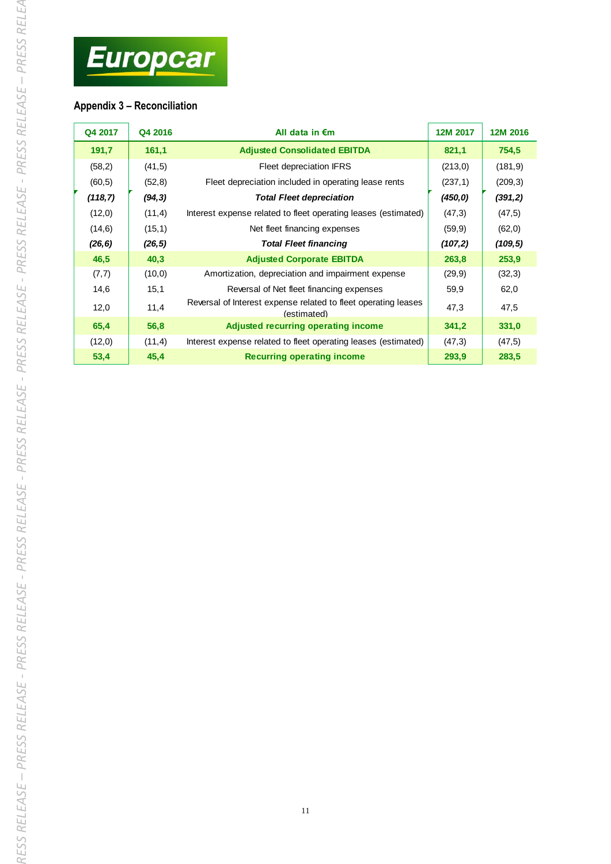# **Appendix 3 – Reconciliation**

| Q4 2017  | Q4 2016 | All data in $\epsilon$ m                                                      | 12M 2017 | 12M 2016 |
|----------|---------|-------------------------------------------------------------------------------|----------|----------|
|          |         |                                                                               |          |          |
| 191,7    | 161,1   | <b>Adjusted Consolidated EBITDA</b>                                           | 821,1    | 754,5    |
| (58,2)   | (41,5)  | Fleet depreciation IFRS                                                       | (213,0)  | (181, 9) |
| (60, 5)  | (52,8)  | Fleet depreciation included in operating lease rents                          | (237, 1) | (209, 3) |
| (118, 7) | (94, 3) | <b>Total Fleet depreciation</b>                                               | (450, 0) | (391,2)  |
| (12,0)   | (11,4)  | Interest expense related to fleet operating leases (estimated)                | (47,3)   | (47, 5)  |
| (14, 6)  | (15,1)  | Net fleet financing expenses                                                  | (59, 9)  | (62, 0)  |
| (26, 6)  | (26, 5) | <b>Total Fleet financing</b>                                                  | (107, 2) | (109, 5) |
| 46,5     | 40,3    | <b>Adjusted Corporate EBITDA</b>                                              | 263,8    | 253,9    |
| (7,7)    | (10, 0) | Amortization, depreciation and impairment expense                             | (29, 9)  | (32,3)   |
| 14,6     | 15,1    | Reversal of Net fleet financing expenses                                      | 59,9     | 62,0     |
| 12,0     | 11,4    | Reversal of Interest expense related to fleet operating leases<br>(estimated) | 47,3     | 47,5     |
| 65,4     | 56,8    | Adjusted recurring operating income                                           | 341,2    | 331,0    |
| (12,0)   | (11,4)  | Interest expense related to fleet operating leases (estimated)                | (47,3)   | (47, 5)  |
| 53,4     | 45,4    | <b>Recurring operating income</b>                                             | 293,9    | 283,5    |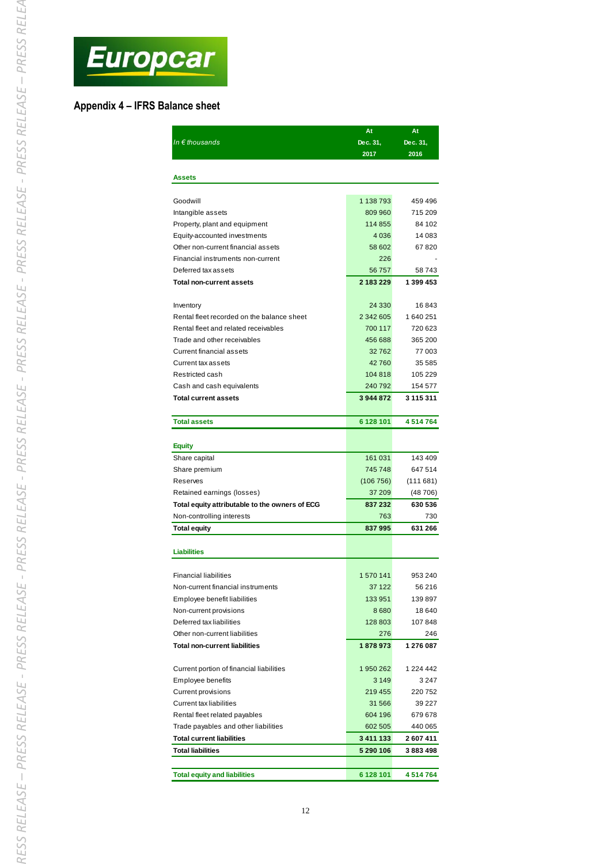

#### **Appendix 4 – IFRS Balance sheet**

| In $\epsilon$ thousands                                       | At<br>Dec. 31,       | At<br>Dec. 31,    |
|---------------------------------------------------------------|----------------------|-------------------|
|                                                               | 2017                 | 2016              |
|                                                               |                      |                   |
| Assets                                                        |                      |                   |
|                                                               |                      |                   |
| Goodwill                                                      | 1 138 793<br>809 960 | 459 496           |
| Intangible assets                                             | 114 855              | 715 209<br>84 102 |
| Property, plant and equipment<br>Equity-accounted investments | 4036                 | 14 083            |
| Other non-current financial assets                            | 58 602               | 67820             |
| Financial instruments non-current                             | 226                  |                   |
| Deferred tax assets                                           | 56757                | 58743             |
|                                                               | 2 183 229            | 1 399 453         |
| <b>Total non-current assets</b>                               |                      |                   |
| Inventory                                                     | 24 3 30              | 16843             |
| Rental fleet recorded on the balance sheet                    | 2 342 605            | 1640251           |
| Rental fleet and related receivables                          | 700 117              | 720 623           |
| Trade and other receivables                                   | 456 688              | 365 200           |
| <b>Current financial assets</b>                               | 32762                | 77 003            |
| Current tax assets                                            | 42760                | 35 585            |
| Restricted cash                                               | 104 818              | 105 229           |
| Cash and cash equivalents                                     | 240 792              | 154 577           |
| <b>Total current assets</b>                                   | 3944872              | 3 115 311         |
|                                                               |                      |                   |
| <b>Total assets</b>                                           | 6 128 101            | 4514764           |
|                                                               |                      |                   |
| <b>Equity</b>                                                 |                      |                   |
| Share capital                                                 | 161 031              | 143 409           |
| Share premium                                                 | 745 748              | 647 514           |
| Reserves                                                      | (106 756)            | (111681)          |
| Retained earnings (losses)                                    | 37 209               | (48 706)          |
| Total equity attributable to the owners of ECG                | 837 232              | 630 536           |
| Non-controlling interests                                     | 763                  | 730               |
| Total equity                                                  | 837995               | 631 266           |
|                                                               |                      |                   |
| <b>Liabilities</b>                                            |                      |                   |
|                                                               |                      |                   |
| <b>Financial liabilities</b>                                  | 1 570 141            | 953 240           |
| Non-current financial instruments                             | 37 122               | 56 216            |
| Employee benefit liabilities                                  | 133 951              | 139 897           |
| Non-current provisions                                        | 8680                 | 18 640            |
| Deferred tax liabilities                                      | 128 803              | 107848            |
| Other non-current liabilities                                 | 276                  | 246               |
| <b>Total non-current liabilities</b>                          | 1878973              | 1 276 087         |
|                                                               |                      |                   |
| Current portion of financial liabilities                      | 1950262              | 1 224 442         |
| Employee benefits                                             | 3 1 4 9              | 3 247             |
| <b>Current provisions</b>                                     | 219 455              | 220 752           |
| <b>Current tax liabilities</b>                                | 31 566               | 39 227            |
| Rental fleet related payables                                 | 604 196              | 679 678           |
| Trade payables and other liabilities                          | 602 505              | 440 065           |
| <b>Total current liabilities</b>                              | 3 411 133            | 2 607 411         |
| <b>Total liabilities</b>                                      | 5 290 106            | 3883498           |
|                                                               |                      |                   |
| <b>Total equity and liabilities</b>                           | 6 128 101            | 4514764           |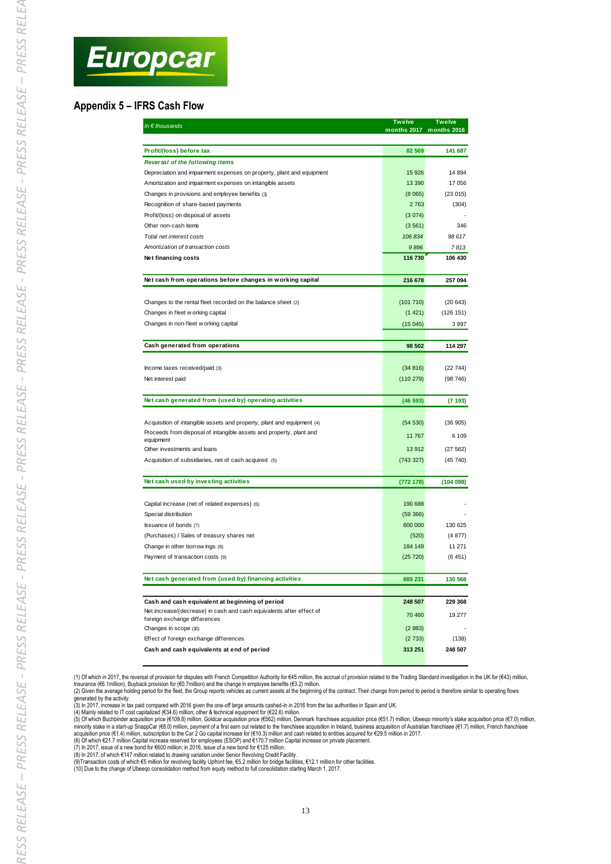#### **Appendix 5 – IFRS Cash Flow**

| In $\epsilon$ thousands                                                                                                                       | <b>Twelve</b> | Twelve<br>months 2017 months 2016 |
|-----------------------------------------------------------------------------------------------------------------------------------------------|---------------|-----------------------------------|
| Profit/(loss) before tax                                                                                                                      | 82 569        | 141 687                           |
| <b>Reversal of the following items</b>                                                                                                        |               |                                   |
| Depreciation and impairment expenses on property, plant and equipment                                                                         | 15926         | 14 8 94                           |
| Amortization and impairment expenses on intangible assets                                                                                     | 13 3 9 0      | 17 056                            |
| Changes in provisions and employee benefits (1)                                                                                               | (8065)        | (23015)                           |
| Recognition of share-based payments                                                                                                           | 2763          | (304)                             |
| Profit/(loss) on disposal of assets                                                                                                           | (3074)        |                                   |
| Other non-cash items                                                                                                                          | (3561)        | 346                               |
| Total net interest costs                                                                                                                      | 106834        | 98 617                            |
| Amortization of transaction costs                                                                                                             | 9896          | 7813                              |
| Net financing costs                                                                                                                           | 116 730       | 106 430                           |
| Net cash from operations before changes in working capital                                                                                    | 216 678       | 257 094                           |
|                                                                                                                                               |               |                                   |
| Changes to the rental fleet recorded on the balance sheet (2)                                                                                 | (101710)      | (20643)                           |
| Changes in fleet w orking capital                                                                                                             | (1421)        | (126 151)                         |
| Changes in non-fleet w orking capital                                                                                                         | (15045)       | 3 9 9 7                           |
| Cash generated from operations                                                                                                                | 98 502        | 114 297                           |
|                                                                                                                                               |               |                                   |
| Income taxes received/paid (3)                                                                                                                | (34816)       | (22744)                           |
| Net interest paid                                                                                                                             | (110 279)     | (98746)                           |
| Net cash generated from (used by) operating activities                                                                                        | (46593)       | (7193)                            |
|                                                                                                                                               |               |                                   |
| Acquisition of intangible assets and property, plant and equipment (4)<br>Proceeds from disposal of intangible assets and property, plant and | (54 530)      | (36905)                           |
| equipment                                                                                                                                     | 11767         | 6 109                             |
| Other investments and loans                                                                                                                   | 13912         | (27562)                           |
| Acquisition of subsidiaries, net of cash acquired (5)                                                                                         | (743 327)     | (45740)                           |
| Net cash used by investing activities                                                                                                         | (772 178)     | (104098)                          |
| Capital increase (net of related expenses) (6)                                                                                                | 190 688       |                                   |
| Special distribution                                                                                                                          | (59 366)      |                                   |
| Issuance of bonds (7)                                                                                                                         | 600 000       | 130 625                           |
| (Purchases) / Sales of treasury shares net                                                                                                    | (520)         | (4877)                            |
| Change in other borrow ings (8)                                                                                                               | 184 149       | 11 271                            |
| Payment of transaction costs (9)                                                                                                              | (25 720)      | (6451)                            |
| Net cash generated from (used by) financing activities                                                                                        | 889 231       | 130 568                           |
|                                                                                                                                               |               |                                   |
| Cash and cash equivalent at beginning of period                                                                                               | 248 507       | 229 368                           |
| Net increase/(decrease) in cash and cash equivalents after effect of                                                                          | 70 460        | 19 277                            |
| foreign exchange differences                                                                                                                  |               |                                   |
| Changes in scope (10)                                                                                                                         | (2983)        |                                   |
| Effect of foreign exchange differences                                                                                                        | (2733)        | (138)                             |
| Cash and cash equivalents at end of period                                                                                                    | 313 251       | 248 507                           |

(1) Of which in 2017, the reversal of provision for disputes with French Competition Authority for €45 million, the accrual of provision related to the Trading Standard investigation in the UK for (€43) million,<br>Insurance

generated by the activity.

(3) In 2017, increase in tax paid compared with 2016 given the one-off large amounts cashed-in in 2016 from the tax authorities in Spain and UK.<br>(4) Mainly related to IT cost capitalized (€34.6) million, coldcar acquisitio

(7) In 2017, issue of a new bond for €600 million; in 2016, issue of a new bond for €125 million.<br>(8) In 2017, of which €147 million related to drawing variation under Senior Revolving Credit Facility.<br>(9)Transaction cost